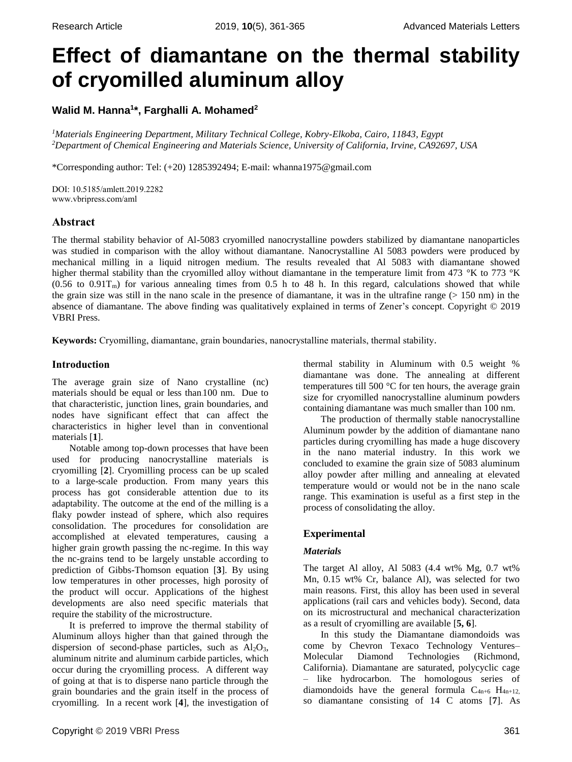# **Effect of diamantane on the thermal stability of cryomilled aluminum alloy**

# **Walid M. Hanna<sup>1</sup> \*, Farghalli A. Mohamed<sup>2</sup>**

*<sup>1</sup>Materials Engineering Department, Military Technical College, Kobry-Elkoba, Cairo, 11843, Egypt <sup>2</sup>Department of Chemical Engineering and Materials Science, University of California, Irvine, CA92697, USA*

\*Corresponding author: Tel: (+20) 1285392494; E-mail: whanna1975@gmail.com

DOI: 10.5185/amlett.2019.2282 www.vbripress.com/aml

# **Abstract**

The thermal stability behavior of Al-5083 cryomilled nanocrystalline powders stabilized by diamantane nanoparticles was studied in comparison with the alloy without diamantane. Nanocrystalline Al 5083 powders were produced by mechanical milling in a liquid nitrogen medium. The results revealed that Al 5083 with diamantane showed higher thermal stability than the cryomilled alloy without diamantane in the temperature limit from 473 °K to 773 °K  $(0.56$  to  $0.91$ T<sub>m</sub>) for various annealing times from 0.5 h to 48 h. In this regard, calculations showed that while the grain size was still in the nano scale in the presence of diamantane, it was in the ultrafine range  $(> 150 \text{ nm})$  in the absence of diamantane. The above finding was qualitatively explained in terms of Zener's concept. Copyright © 2019 VBRI Press.

**Keywords:** Cryomilling, diamantane, grain boundaries, nanocrystalline materials, thermal stability.

## **Introduction**

The average grain size of Nano crystalline (nc) materials should be equal or less than100 nm. Due to that characteristic, junction lines, grain boundaries, and nodes have significant effect that can affect the characteristics in higher level than in conventional materials [**1**].

Notable among top-down processes that have been used for producing nanocrystalline materials is cryomilling [**2**]. Cryomilling process can be up scaled to a large-scale production. From many years this process has got considerable attention due to its adaptability. The outcome at the end of the milling is a flaky powder instead of sphere, which also requires consolidation. The procedures for consolidation are accomplished at elevated temperatures, causing a higher grain growth passing the nc-regime. In this way the nc-grains tend to be largely unstable according to prediction of Gibbs-Thomson equation [**3**]. By using low temperatures in other processes, high porosity of the product will occur. Applications of the highest developments are also need specific materials that require the stability of the microstructure.

It is preferred to improve the thermal stability of Aluminum alloys higher than that gained through the dispersion of second-phase particles, such as  $Al_2O_3$ , aluminum nitrite and aluminum carbide particles, which occur during the cryomilling process. A different way of going at that is to disperse nano particle through the grain boundaries and the grain itself in the process of cryomilling. In a recent work [**4**], the investigation of

Copyright © 2019 VBRI Press 361

thermal stability in Aluminum with 0.5 weight % diamantane was done. The annealing at different temperatures till 500 °C for ten hours, the average grain size for cryomilled nanocrystalline aluminum powders containing diamantane was much smaller than 100 nm.

The production of thermally stable nanocrystalline Aluminum powder by the addition of diamantane nano particles during cryomilling has made a huge discovery in the nano material industry. In this work we concluded to examine the grain size of 5083 aluminum alloy powder after milling and annealing at elevated temperature would or would not be in the nano scale range. This examination is useful as a first step in the process of consolidating the alloy. star to revomined a more start of experimental and more was more and first one and first operator of the production of the production of the production and a Muminum power by the addition of diamatane nano particles during

# **Experimental**

### *Materials*

The target Al alloy, Al 5083 (4.4 wt% Mg, 0.7 wt% Mn, 0.15 wt% Cr, balance Al), was selected for two main reasons. First, this alloy has been used in several applications (rail cars and vehicles body). Second, data on its microstructural and mechanical characterization as a result of cryomilling are available [**5, 6**].

In this study the Diamantane diamondoids was come by Chevron Texaco Technology Ventures– Molecular Diamond Technologies (Richmond, California). Diamantane are saturated, polycyclic cage – like hydrocarbon. The homologous series of diamondoids have the general formula  $C_{4n+6}$  H<sub>4n+12</sub>,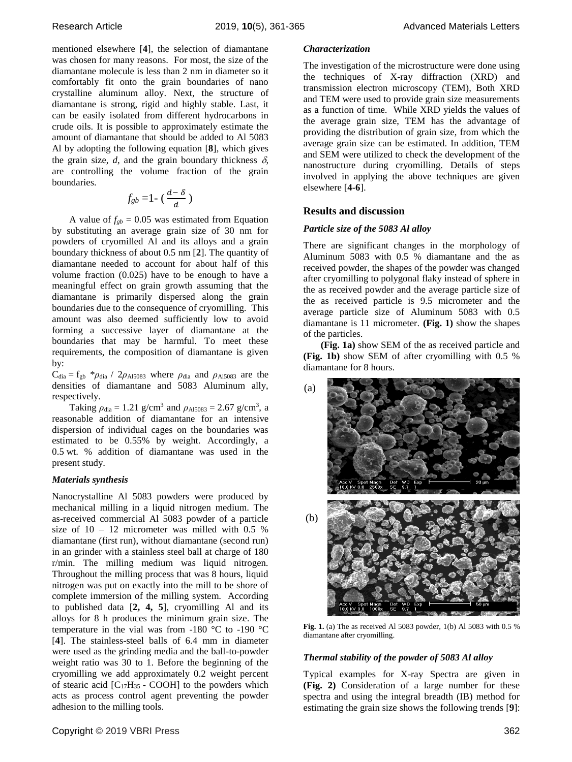mentioned elsewhere [**4**], the selection of diamantane was chosen for many reasons. For most, the size of the diamantane molecule is less than 2 nm in diameter so it comfortably fit onto the grain boundaries of nano crystalline aluminum alloy. Next, the structure of diamantane is strong, rigid and highly stable. Last, it can be easily isolated from different hydrocarbons in crude oils. It is possible to approximately estimate the amount of diamantane that should be added to Al 5083 Al by adopting the following equation [**8**], which gives the grain size,  $d$ , and the grain boundary thickness  $\delta$ , are controlling the volume fraction of the grain boundaries.

$$
f_{gb}=1-\left(\frac{d-\delta}{d}\right)
$$

A value of  $f_{gb} = 0.05$  was estimated from Equation by substituting an average grain size of 30 nm for powders of cryomilled Al and its alloys and a grain boundary thickness of about 0.5 nm [**2**]. The quantity of diamantane needed to account for about half of this volume fraction (0.025) have to be enough to have a meaningful effect on grain growth assuming that the diamantane is primarily dispersed along the grain boundaries due to the consequence of cryomilling. This amount was also deemed sufficiently low to avoid forming a successive layer of diamantane at the boundaries that may be harmful. To meet these requirements, the composition of diamantane is given by:

 $C_{dia} = f_{gb} * \rho_{dia} / 2\rho_{Ai5083}$  where  $\rho_{dia}$  and  $\rho_{Ai5083}$  are the densities of diamantane and 5083 Aluminum ally, respectively.

Taking  $\rho_{dia} = 1.21$  g/cm<sup>3</sup> and  $\rho_{Ai5083} = 2.67$  g/cm<sup>3</sup>, a reasonable addition of diamantane for an intensive dispersion of individual cages on the boundaries was estimated to be 0.55% by weight. Accordingly, a 0.5 wt. % addition of diamantane was used in the present study.

#### *Materials synthesis*

Nanocrystalline Al 5083 powders were produced by mechanical milling in a liquid nitrogen medium. The as-received commercial Al 5083 powder of a particle size of  $10 - 12$  micrometer was milled with 0.5 % diamantane (first run), without diamantane (second run) in an grinder with a stainless steel ball at charge of 180 r/min. The milling medium was liquid nitrogen. Throughout the milling process that was 8 hours, liquid nitrogen was put on exactly into the mill to be shore of complete immersion of the milling system. According to published data [**2, 4, 5**], cryomilling Al and its alloys for 8 h produces the minimum grain size. The temperature in the vial was from -180 °C to -190 °C [**4**]. The stainless-steel balls of 6.4 mm in diameter were used as the grinding media and the ball-to-powder weight ratio was 30 to 1. Before the beginning of the cryomilling we add approximately 0.2 weight percent of stearic acid  $[C_{17}H_{35} - COOH]$  to the powders which acts as process control agent preventing the powder adhesion to the milling tools.

The investigation of the microstructure were done using the techniques of X-ray diffraction (XRD) and transmission electron microscopy (TEM), Both XRD and TEM were used to provide grain size measurements as a function of time. While XRD yields the values of the average grain size, TEM has the advantage of providing the distribution of grain size, from which the average grain size can be estimated. In addition, TEM and SEM were utilized to check the development of the nanostructure during cryomilling. Details of steps involved in applying the above techniques are given elsewhere [**4-6**].

## **Results and discussion**

#### *Particle size of the 5083 Al alloy*

There are significant changes in the morphology of Aluminum 5083 with 0.5 % diamantane and the as received powder, the shapes of the powder was changed after cryomilling to polygonal flaky instead of sphere in the as received powder and the average particle size of the as received particle is 9.5 micrometer and the average particle size of Aluminum 5083 with 0.5 diamantane is 11 micrometer. **(Fig. 1)** show the shapes of the particles.

**(Fig. 1a)** show SEM of the as received particle and **(Fig. 1b)** show SEM of after cryomilling with 0.5 % diamantane for 8 hours.



**Fig. 1.** (a) The as received Al 5083 powder, 1(b) Al 5083 with 0.5 % diamantane after cryomilling.

#### *Thermal stability of the powder of 5083 Al alloy*

Typical examples for X-ray Spectra are given in **(Fig. 2)** Consideration of a large number for these spectra and using the integral breadth (IB) method for estimating the grain size shows the following trends [**9**]: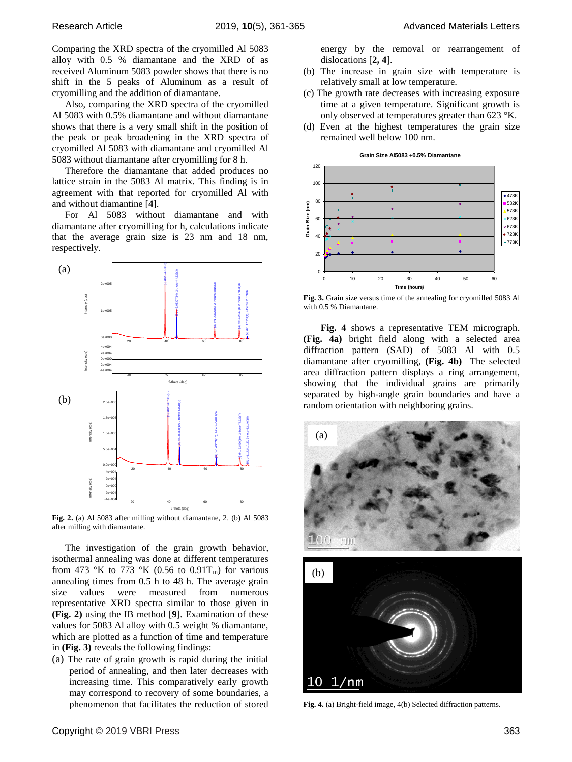Comparing the XRD spectra of the cryomilled Al 5083 alloy with 0.5 % diamantane and the XRD of as received Aluminum 5083 powder shows that there is no shift in the 5 peaks of Aluminum as a result of cryomilling and the addition of diamantane.

Also, comparing the XRD spectra of the cryomilled Al 5083 with 0.5% diamantane and without diamantane shows that there is a very small shift in the position of the peak or peak broadening in the XRD spectra of cryomilled Al 5083 with diamantane and cryomilled Al 5083 without diamantane after cryomilling for 8 h.

Therefore the diamantane that added produces no lattice strain in the 5083 Al matrix. This finding is in agreement with that reported for cryomilled Al with and without diamantine [**4**].

For Al 5083 without diamantane and with diamantane after cryomilling for h, calculations indicate that the average grain size is 23 nm and 18 nm, respectively.



**Fig. 2.** (a) Al 5083 after milling without diamantane, 2. (b) Al 5083 after milling with diamantane.

The investigation of the grain growth behavior, isothermal annealing was done at different temperatures from 473 °K to 773 °K (0.56 to 0.91T<sub>m</sub>) for various annealing times from 0.5 h to 48 h. The average grain size values were measured from numerous representative XRD spectra similar to those given in **(Fig. 2)** using the IB method [**9**]. Examination of these values for 5083 Al alloy with 0.5 weight % diamantane, which are plotted as a function of time and temperature in **(Fig. 3)** reveals the following findings:

(a) The rate of grain growth is rapid during the initial period of annealing, and then later decreases with increasing time. This comparatively early growth may correspond to recovery of some boundaries, a phenomenon that facilitates the reduction of stored energy by the removal or rearrangement of dislocations [**2, 4**].

- (b) The increase in grain size with temperature is relatively small at low temperature.
- (c) The growth rate decreases with increasing exposure time at a given temperature. Significant growth is only observed at temperatures greater than 623 °K.
- (d) Even at the highest temperatures the grain size remained well below 100 nm.

**Grain Size Al5083 +0.5% Diamantane**



Fig. 3. Grain size versus time of the annealing for cryomilled 5083 Al with 0.5 % Diamantane.

**Fig. 4** shows a representative TEM micrograph. **(Fig. 4a)** bright field along with a selected area diffraction pattern (SAD) of 5083 Al with 0.5 diamantane after cryomilling, **(Fig. 4b)** The selected area diffraction pattern displays a ring arrangement, showing that the individual grains are primarily separated by high-angle grain boundaries and have a random orientation with neighboring grains.



**Fig. 4.** (a) Bright-field image, 4(b) Selected diffraction patterns.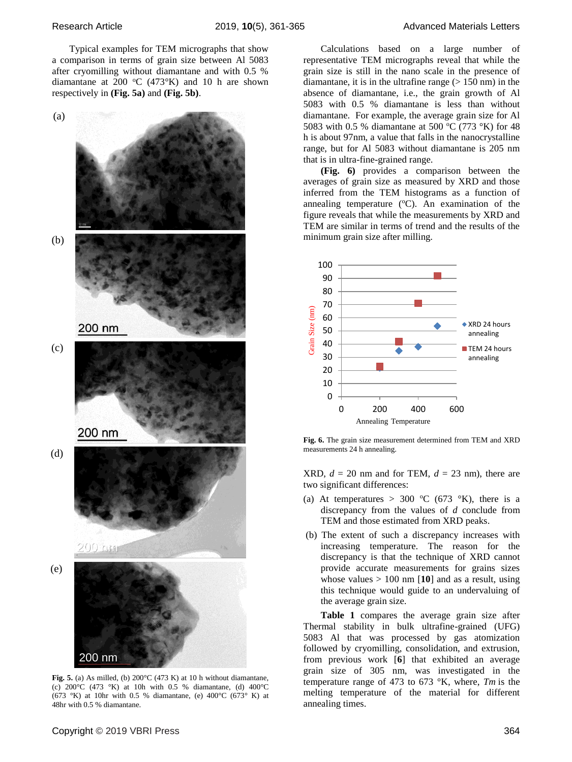Typical examples for TEM micrographs that show a comparison in terms of grain size between Al 5083 after cryomilling without diamantane and with 0.5 % diamantane at 200 °C (473°K) and 10 h are shown respectively in **(Fig. 5a)** and **(Fig. 5b)**.



**Fig. 5.** (a) As milled, (b) 200°C (473 K) at 10 h without diamantane, (c) 200°C (473 °K) at 10h with 0.5 % diamantane, (d) 400°C (673 °K) at 10hr with 0.5 % diamantane, (e)  $400^{\circ}$ C (673 °K) at 48hr with 0.5 % diamantane.

Calculations based on a large number of representative TEM micrographs reveal that while the grain size is still in the nano scale in the presence of diamantane, it is in the ultrafine range  $(> 150 \text{ nm})$  in the absence of diamantane, i.e., the grain growth of Al 5083 with 0.5 % diamantane is less than without diamantane. For example, the average grain size for Al 5083 with 0.5 % diamantane at 500 °C (773 °K) for 48 h is about 97nm, a value that falls in the nanocrystalline range, but for Al 5083 without diamantane is 205 nm that is in ultra-fine-grained range.

**(Fig. 6)** provides a comparison between the averages of grain size as measured by XRD and those inferred from the TEM histograms as a function of annealing temperature  $(^{\circ}C)$ . An examination of the figure reveals that while the measurements by XRD and TEM are similar in terms of trend and the results of the minimum grain size after milling.



**Fig. 6.** The grain size measurement determined from TEM and XRD measurements 24 h annealing.

XRD,  $d = 20$  nm and for TEM,  $d = 23$  nm), there are two significant differences:

- (a) At temperatures > 300 °C (673 °K), there is a discrepancy from the values of *d* conclude from TEM and those estimated from XRD peaks.
- (b) The extent of such a discrepancy increases with increasing temperature. The reason for the discrepancy is that the technique of XRD cannot provide accurate measurements for grains sizes whose values > 100 nm [**10**] and as a result, using this technique would guide to an undervaluing of the average grain size.

**Table 1** compares the average grain size after Thermal stability in bulk ultrafine-grained (UFG) 5083 Al that was processed by gas atomization followed by cryomilling, consolidation, and extrusion, from previous work [**6**] that exhibited an average grain size of 305 nm, was investigated in the temperature range of 473 to 673 °K, where, *Tm* is the melting temperature of the material for different annealing times.